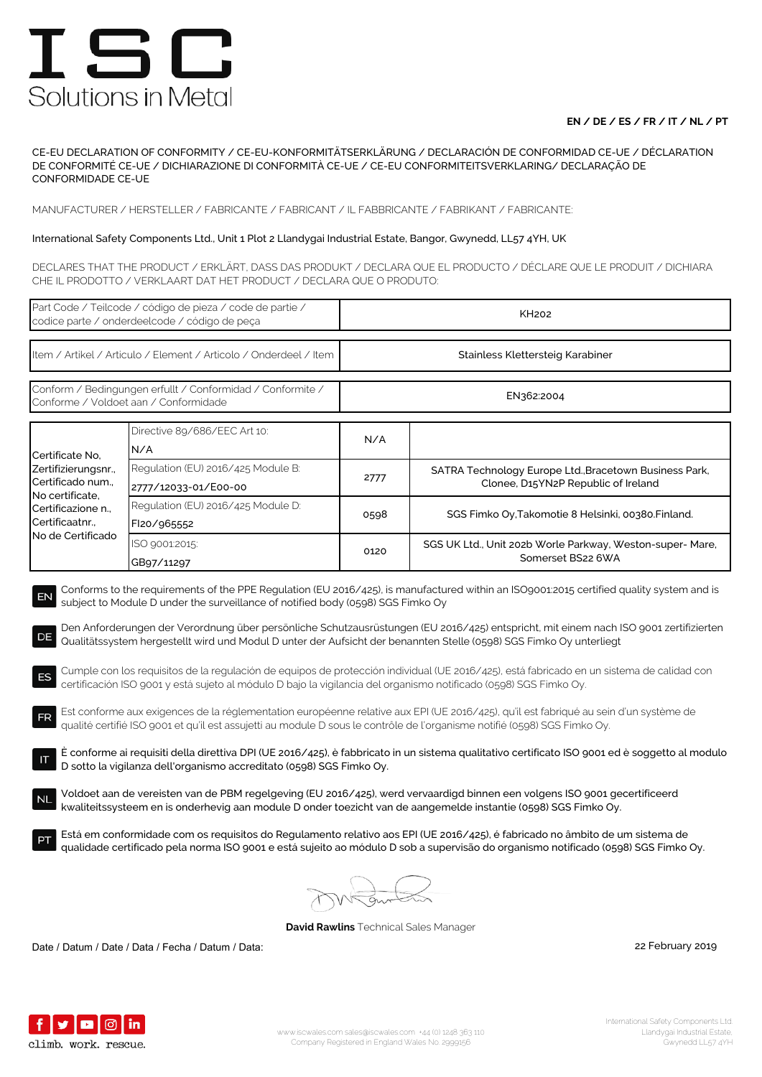## **EN / DE / ES / FR / IT / NL / PT**

CE-EU DECLARATION OF CONFORMITY / CE-EU-KONFORMITÄTSERKLÄRUNG / DECLARACIÓN DE CONFORMIDAD CE-UE / DÉCLARATION DE CONFORMITÉ CE-UE / DICHIARAZIONE DI CONFORMITÀ CE-UE / CE-EU CONFORMITEITSVERKLARING/ DECLARAÇÃO DE CONFORMIDADE CE-UE

MANUFACTURER / HERSTELLER / FABRICANTE / FABRICANT / IL FABBRICANTE / FABRIKANT / FABRICANTE:

### International Safety Components Ltd., Unit 1 Plot 2 Llandygai Industrial Estate, Bangor, Gwynedd, LL57 4YH, UK

DECLARES THAT THE PRODUCT / ERKLÄRT, DASS DAS PRODUKT / DECLARA QUE EL PRODUCTO / DÉCLARE QUE LE PRODUIT / DICHIARA CHE IL PRODOTTO / VERKLAART DAT HET PRODUCT / DECLARA QUE O PRODUTO:

| Part Code / Teilcode / código de pieza / code de partie /<br>codice parte / onderdeelcode / código de peça                                                                                                                                                                                                                                                                                                                                                                                                                                                                                                                                                                                                                                                                                                                                                                                                                                                                                                                                                                                                                                                                                                                                                                                                                                                                                                                                                                                                                                                                                                                                                                                                                                                                                                                       |                                                            | <b>KH202</b>                     |                                                                                               |  |  |
|----------------------------------------------------------------------------------------------------------------------------------------------------------------------------------------------------------------------------------------------------------------------------------------------------------------------------------------------------------------------------------------------------------------------------------------------------------------------------------------------------------------------------------------------------------------------------------------------------------------------------------------------------------------------------------------------------------------------------------------------------------------------------------------------------------------------------------------------------------------------------------------------------------------------------------------------------------------------------------------------------------------------------------------------------------------------------------------------------------------------------------------------------------------------------------------------------------------------------------------------------------------------------------------------------------------------------------------------------------------------------------------------------------------------------------------------------------------------------------------------------------------------------------------------------------------------------------------------------------------------------------------------------------------------------------------------------------------------------------------------------------------------------------------------------------------------------------|------------------------------------------------------------|----------------------------------|-----------------------------------------------------------------------------------------------|--|--|
| Item / Artikel / Articulo / Element / Articolo / Onderdeel / Item                                                                                                                                                                                                                                                                                                                                                                                                                                                                                                                                                                                                                                                                                                                                                                                                                                                                                                                                                                                                                                                                                                                                                                                                                                                                                                                                                                                                                                                                                                                                                                                                                                                                                                                                                                |                                                            | Stainless Klettersteig Karabiner |                                                                                               |  |  |
| Conform / Bedingungen erfullt / Conformidad / Conformite /<br>Conforme / Voldoet aan / Conformidade                                                                                                                                                                                                                                                                                                                                                                                                                                                                                                                                                                                                                                                                                                                                                                                                                                                                                                                                                                                                                                                                                                                                                                                                                                                                                                                                                                                                                                                                                                                                                                                                                                                                                                                              |                                                            | EN362:2004                       |                                                                                               |  |  |
| Certificate No.<br>Zertifizierungsnr.,<br>Certificado num.,<br>No certificate,<br>Certificazione n.,<br>Certificaatnr.,<br>No de Certificado                                                                                                                                                                                                                                                                                                                                                                                                                                                                                                                                                                                                                                                                                                                                                                                                                                                                                                                                                                                                                                                                                                                                                                                                                                                                                                                                                                                                                                                                                                                                                                                                                                                                                     | Directive 89/686/EEC Art 10:<br>N/A                        | N/A                              |                                                                                               |  |  |
|                                                                                                                                                                                                                                                                                                                                                                                                                                                                                                                                                                                                                                                                                                                                                                                                                                                                                                                                                                                                                                                                                                                                                                                                                                                                                                                                                                                                                                                                                                                                                                                                                                                                                                                                                                                                                                  | Regulation (EU) 2016/425 Module B:<br>2777/12033-01/E00-00 | 2777                             | SATRA Technology Europe Ltd., Bracetown Business Park,<br>Clonee, D15YN2P Republic of Ireland |  |  |
|                                                                                                                                                                                                                                                                                                                                                                                                                                                                                                                                                                                                                                                                                                                                                                                                                                                                                                                                                                                                                                                                                                                                                                                                                                                                                                                                                                                                                                                                                                                                                                                                                                                                                                                                                                                                                                  | Regulation (EU) 2016/425 Module D:<br>FI20/965552          | 0598                             | SGS Fimko Oy, Takomotie 8 Helsinki, 00380. Finland.                                           |  |  |
|                                                                                                                                                                                                                                                                                                                                                                                                                                                                                                                                                                                                                                                                                                                                                                                                                                                                                                                                                                                                                                                                                                                                                                                                                                                                                                                                                                                                                                                                                                                                                                                                                                                                                                                                                                                                                                  | ISO 9001:2015:<br>GB97/11297                               | 0120                             | SGS UK Ltd., Unit 202b Worle Parkway, Weston-super- Mare,<br>Somerset BS22 6WA                |  |  |
| Conforms to the requirements of the PPE Regulation (EU 2016/425), is manufactured within an ISO9001:2015 certified quality system and is<br>EN<br>subject to Module D under the surveillance of notified body (0598) SGS Fimko Oy<br>Den Anforderungen der Verordnung über persönliche Schutzausrüstungen (EU 2016/425) entspricht, mit einem nach ISO 9001 zertifizierten<br>DE<br>Qualitätssystem hergestellt wird und Modul D unter der Aufsicht der benannten Stelle (0598) SGS Fimko Oy unterliegt<br>Cumple con los requisitos de la regulación de equipos de protección individual (UE 2016/425), está fabricado en un sistema de calidad con<br>ES<br>certificación ISO 9001 y está sujeto al módulo D bajo la vigilancia del organismo notificado (0598) SGS Fimko Oy.<br>Est conforme aux exigences de la réglementation européenne relative aux EPI (UE 2016/425), qu'il est fabriqué au sein d'un système de<br><b>FR</b><br>qualité certifié ISO 9001 et qu'il est assujetti au module D sous le contrôle de l'organisme notifié (0598) SGS Fimko Oy.<br>È conforme ai requisiti della direttiva DPI (UE 2016/425), è fabbricato in un sistema qualitativo certificato ISO 9001 ed è soggetto al modulo<br>D sotto la vigilanza dell'organismo accreditato (0598) SGS Fimko Oy.<br>Voldoet aan de vereisten van de PBM regelgeving (EU 2016/425), werd vervaardigd binnen een volgens ISO 9001 gecertificeerd<br><b>NL</b><br>kwaliteitssysteem en is onderhevig aan module D onder toezicht van de aangemelde instantie (0598) SGS Fimko Oy.<br>Está em conformidade com os requisitos do Regulamento relativo aos EPI (UE 2016/425), é fabricado no âmbito de um sistema de<br>qualidade certificado pela norma ISO 9001 e está sujeito ao módulo D sob a supervisão do organismo notificado (0598) SGS Fimko Oy. |                                                            |                                  |                                                                                               |  |  |
|                                                                                                                                                                                                                                                                                                                                                                                                                                                                                                                                                                                                                                                                                                                                                                                                                                                                                                                                                                                                                                                                                                                                                                                                                                                                                                                                                                                                                                                                                                                                                                                                                                                                                                                                                                                                                                  |                                                            |                                  |                                                                                               |  |  |

**David Rawlins** Technical Sales Manager

Date / Datum / Date / Data / Fecha / Datum / Data: 2019

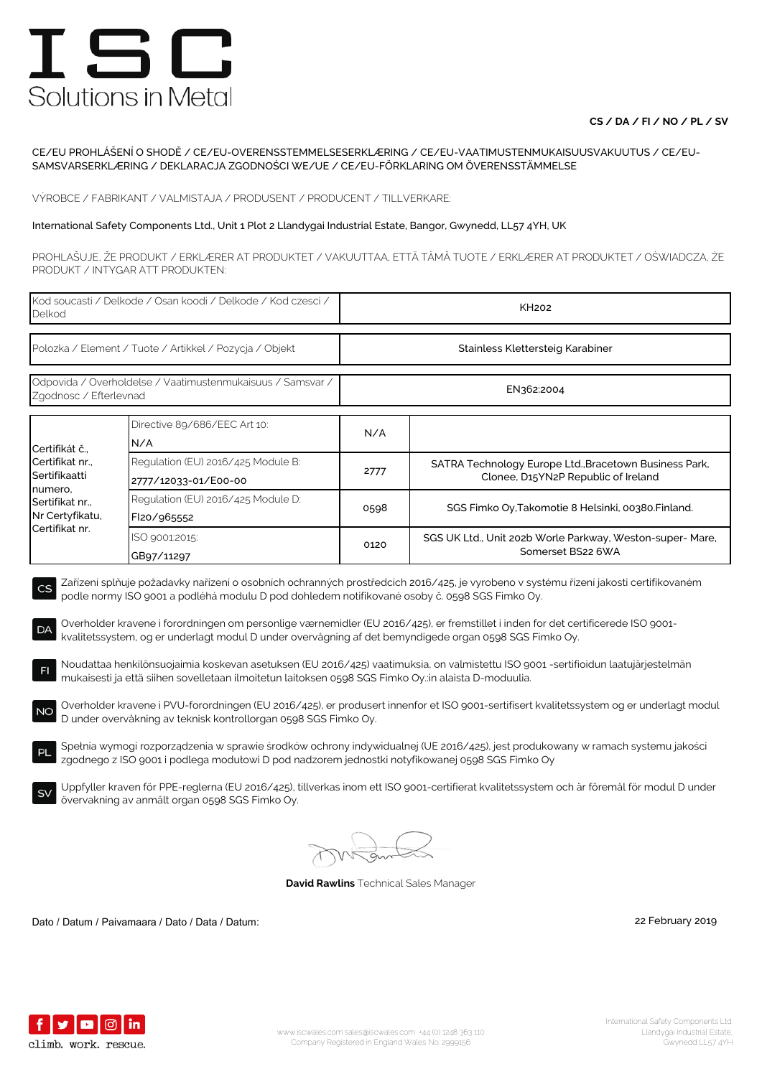## **CS / DA / FI / NO / PL / SV**

#### CE/EU PROHLÁŠENÍ O SHODĚ / CE/EU-OVERENSSTEMMELSESERKLÆRING / CE/EU-VAATIMUSTENMUKAISUUSVAKUUTUS / CE/EU-SAMSVARSERKLÆRING / DEKLARACJA ZGODNOŚCI WE/UE / CE/EU-FÖRKLARING OM ÖVERENSSTÄMMELSE

VÝROBCE / FABRIKANT / VALMISTAJA / PRODUSENT / PRODUCENT / TILLVERKARE:

#### International Safety Components Ltd., Unit 1 Plot 2 Llandygai Industrial Estate, Bangor, Gwynedd, LL57 4YH, UK

PROHLAŠUJE, ŽE PRODUKT / ERKLÆRER AT PRODUKTET / VAKUUTTAA, ETTÄ TÄMÄ TUOTE / ERKLÆRER AT PRODUKTET / OŚWIADCZA, ŻE PRODUKT / INTYGAR ATT PRODUKTEN:

| Kod soucasti / Delkode / Osan koodi / Delkode / Kod czesci /<br>Delkod                                                                                                                                                                                                                                                                                                                                                                                                                           |                                                            | <b>KH202</b>                     |                                                                                                                                            |  |  |
|--------------------------------------------------------------------------------------------------------------------------------------------------------------------------------------------------------------------------------------------------------------------------------------------------------------------------------------------------------------------------------------------------------------------------------------------------------------------------------------------------|------------------------------------------------------------|----------------------------------|--------------------------------------------------------------------------------------------------------------------------------------------|--|--|
| Polozka / Element / Tuote / Artikkel / Pozycja / Objekt                                                                                                                                                                                                                                                                                                                                                                                                                                          |                                                            | Stainless Klettersteig Karabiner |                                                                                                                                            |  |  |
| Odpovida / Overholdelse / Vaatimustenmukaisuus / Samsvar /<br>Zgodnosc / Efterlevnad                                                                                                                                                                                                                                                                                                                                                                                                             |                                                            | EN362:2004                       |                                                                                                                                            |  |  |
| Certifikát č.,<br>Certifikat nr.,<br>Sertifikaatti<br>numero,<br>Sertifikat nr.,<br>Nr Certyfikatu,<br>Certifikat nr.                                                                                                                                                                                                                                                                                                                                                                            | Directive 89/686/EEC Art 10:<br>N/A                        | N/A                              |                                                                                                                                            |  |  |
|                                                                                                                                                                                                                                                                                                                                                                                                                                                                                                  | Regulation (EU) 2016/425 Module B:<br>2777/12033-01/E00-00 | 2777                             | SATRA Technology Europe Ltd., Bracetown Business Park,<br>Clonee, D15YN2P Republic of Ireland                                              |  |  |
|                                                                                                                                                                                                                                                                                                                                                                                                                                                                                                  | Regulation (EU) 2016/425 Module D:<br>FI20/965552          | 0598                             | SGS Fimko Oy, Takomotie 8 Helsinki, 00380. Finland.                                                                                        |  |  |
|                                                                                                                                                                                                                                                                                                                                                                                                                                                                                                  | ISO 9001:2015:<br>GB97/11297                               | 0120                             | SGS UK Ltd., Unit 202b Worle Parkway, Weston-super-Mare,<br>Somerset BS22 6WA                                                              |  |  |
| Zařízení splňuje požadavky nařízení o osobních ochranných prostředcích 2016/425, je vyrobeno v systému řízení jakosti certifikovaném<br>CS<br>podle normy ISO 9001 a podléhá modulu D pod dohledem notifikované osoby č. 0598 SGS Fimko Oy.<br>Overholder kravene i forordningen om personlige værnemidler (EU 2016/425), er fremstillet i inden for det certificerede ISO 9001-<br>DA<br>kvalitetssystem, og er underlagt modul D under overvågning af det bemyndigede organ 0598 SGS Fimko Oy. |                                                            |                                  |                                                                                                                                            |  |  |
| Noudattaa henkilönsuojaimia koskevan asetuksen (EU 2016/425) vaatimuksia, on valmistettu ISO 9001 -sertifioidun laatujärjestelmän<br>F1<br>mukaisesti ja että siihen sovelletaan ilmoitetun laitoksen 0598 SGS Fimko Oy.:in alaista D-moduulia.                                                                                                                                                                                                                                                  |                                                            |                                  |                                                                                                                                            |  |  |
| Overholder kravene i PVU-forordningen (EU 2016/425), er produsert innenfor et ISO 9001-sertifisert kvalitetssystem og er underlagt modul<br><b>NO</b><br>D under overvåkning av teknisk kontrollorgan 0598 SGS Fimko Oy.                                                                                                                                                                                                                                                                         |                                                            |                                  |                                                                                                                                            |  |  |
| Spełnia wymogi rozporządzenia w sprawie środków ochrony indywidualnej (UE 2016/425), jest produkowany w ramach systemu jakości<br><b>PL</b><br>zgodnego z ISO 9001 i podlega modułowi D pod nadzorem jednostki notyfikowanej 0598 SGS Fimko Oy                                                                                                                                                                                                                                                   |                                                            |                                  |                                                                                                                                            |  |  |
| <b>SV</b>                                                                                                                                                                                                                                                                                                                                                                                                                                                                                        | övervakning av anmält organ 0598 SGS Fimko Oy.             |                                  | Uppfyller kraven för PPE-reglerna (EU 2016/425), tillverkas inom ett ISO 9001-certifierat kvalitetssystem och är föremål för modul D under |  |  |

**David Rawlins** Technical Sales Manager

Dato / Datum / Paivamaara / Dato / Data / Datum: 22 February 2019

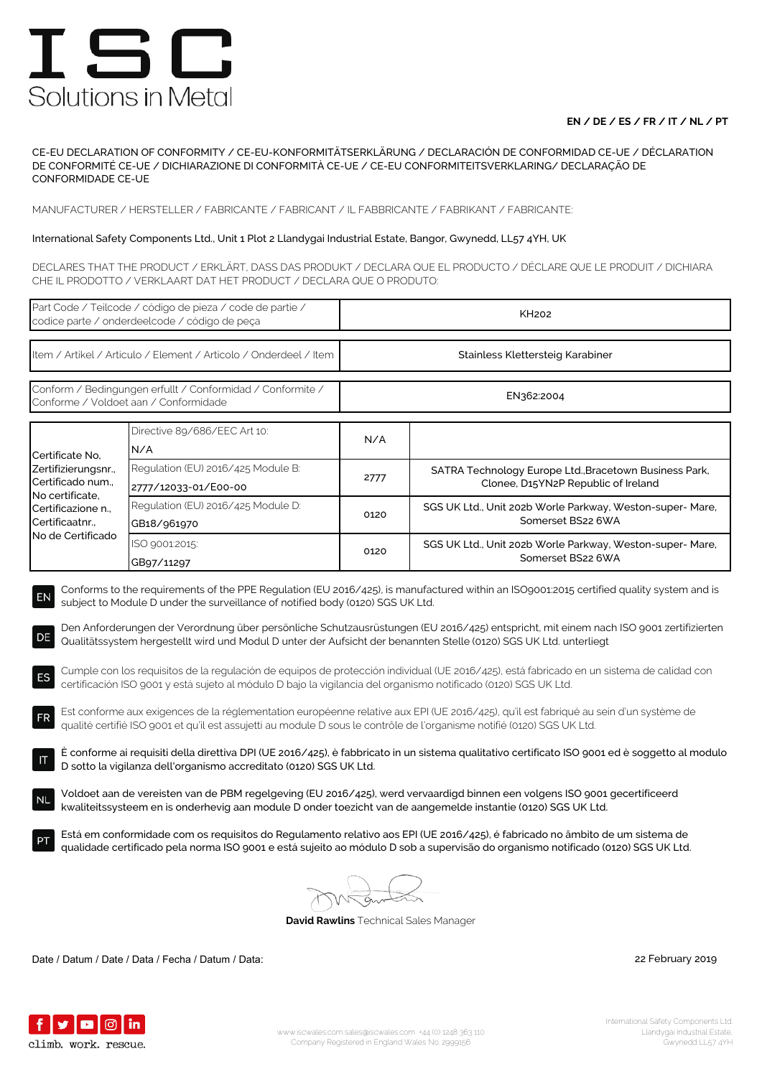## **EN / DE / ES / FR / IT / NL / PT**

CE-EU DECLARATION OF CONFORMITY / CE-EU-KONFORMITÄTSERKLÄRUNG / DECLARACIÓN DE CONFORMIDAD CE-UE / DÉCLARATION DE CONFORMITÉ CE-UE / DICHIARAZIONE DI CONFORMITÀ CE-UE / CE-EU CONFORMITEITSVERKLARING/ DECLARAÇÃO DE CONFORMIDADE CE-UE

MANUFACTURER / HERSTELLER / FABRICANTE / FABRICANT / IL FABBRICANTE / FABRIKANT / FABRICANTE:

### International Safety Components Ltd., Unit 1 Plot 2 Llandygai Industrial Estate, Bangor, Gwynedd, LL57 4YH, UK

DECLARES THAT THE PRODUCT / ERKLÄRT, DASS DAS PRODUKT / DECLARA QUE EL PRODUCTO / DÉCLARE QUE LE PRODUIT / DICHIARA CHE IL PRODOTTO / VERKLAART DAT HET PRODUCT / DECLARA QUE O PRODUTO:

| Part Code / Teilcode / código de pieza / code de partie /<br>codice parte / onderdeelcode / código de peça                                                                                                                                                                                                                                                                                                                                                                                                                                                                                                                                                                                                                                                                                                                                                                                                                                                                                                                                                                                                                                                                     |                                                            | KH <sub>202</sub>                |                                                                                               |  |  |
|--------------------------------------------------------------------------------------------------------------------------------------------------------------------------------------------------------------------------------------------------------------------------------------------------------------------------------------------------------------------------------------------------------------------------------------------------------------------------------------------------------------------------------------------------------------------------------------------------------------------------------------------------------------------------------------------------------------------------------------------------------------------------------------------------------------------------------------------------------------------------------------------------------------------------------------------------------------------------------------------------------------------------------------------------------------------------------------------------------------------------------------------------------------------------------|------------------------------------------------------------|----------------------------------|-----------------------------------------------------------------------------------------------|--|--|
| Item / Artikel / Articulo / Element / Articolo / Onderdeel / Item                                                                                                                                                                                                                                                                                                                                                                                                                                                                                                                                                                                                                                                                                                                                                                                                                                                                                                                                                                                                                                                                                                              |                                                            | Stainless Klettersteig Karabiner |                                                                                               |  |  |
| Conform / Bedingungen erfullt / Conformidad / Conformite /<br>Conforme / Voldoet aan / Conformidade                                                                                                                                                                                                                                                                                                                                                                                                                                                                                                                                                                                                                                                                                                                                                                                                                                                                                                                                                                                                                                                                            |                                                            | EN362:2004                       |                                                                                               |  |  |
| Certificate No,<br>Zertifizierungsnr.,<br>Certificado num.,<br>No certificate,<br>Certificazione n.,<br>Certificaatnr<br>No de Certificado                                                                                                                                                                                                                                                                                                                                                                                                                                                                                                                                                                                                                                                                                                                                                                                                                                                                                                                                                                                                                                     | Directive 89/686/EEC Art 10:<br>N/A                        | N/A                              |                                                                                               |  |  |
|                                                                                                                                                                                                                                                                                                                                                                                                                                                                                                                                                                                                                                                                                                                                                                                                                                                                                                                                                                                                                                                                                                                                                                                | Regulation (EU) 2016/425 Module B:<br>2777/12033-01/E00-00 | 2777                             | SATRA Technology Europe Ltd., Bracetown Business Park,<br>Clonee, D15YN2P Republic of Ireland |  |  |
|                                                                                                                                                                                                                                                                                                                                                                                                                                                                                                                                                                                                                                                                                                                                                                                                                                                                                                                                                                                                                                                                                                                                                                                | Regulation (EU) 2016/425 Module D:<br>GB18/961970          | 0120                             | SGS UK Ltd., Unit 202b Worle Parkway, Weston-super- Mare,<br>Somerset BS22 6WA                |  |  |
|                                                                                                                                                                                                                                                                                                                                                                                                                                                                                                                                                                                                                                                                                                                                                                                                                                                                                                                                                                                                                                                                                                                                                                                | ISO 9001:2015:<br>GB97/11297                               | 0120                             | SGS UK Ltd., Unit 202b Worle Parkway, Weston-super- Mare,<br>Somerset BS22 6WA                |  |  |
| Den Anforderungen der Verordnung über persönliche Schutzausrüstungen (EU 2016/425) entspricht, mit einem nach ISO 9001 zertifizierten<br>DE<br>Qualitätssystem hergestellt wird und Modul D unter der Aufsicht der benannten Stelle (0120) SGS UK Ltd. unterliegt<br>Cumple con los requisitos de la regulación de equipos de protección individual (UE 2016/425), está fabricado en un sistema de calidad con<br>ES<br>certificación ISO 9001 y está sujeto al módulo D bajo la vigilancia del organismo notificado (0120) SGS UK Ltd.<br>Est conforme aux exigences de la réglementation européenne relative aux EPI (UE 2016/425), qu'il est fabriqué au sein d'un système de<br><b>FR</b><br>qualité certifié ISO 9001 et qu'il est assujetti au module D sous le contrôle de l'organisme notifié (0120) SGS UK Ltd.<br>È conforme ai requisiti della direttiva DPI (UE 2016/425), è fabbricato in un sistema qualitativo certificato ISO 9001 ed è soggetto al modulo<br>D sotto la vigilanza dell'organismo accreditato (0120) SGS UK Ltd.<br>Voldoet aan de vereisten van de PBM regelgeving (EU 2016/425), werd vervaardigd binnen een volgens ISO 9001 gecertificeerd |                                                            |                                  |                                                                                               |  |  |
| <b>NL</b><br>kwaliteitssysteem en is onderhevig aan module D onder toezicht van de aangemelde instantie (0120) SGS UK Ltd.<br>Está em conformidade com os requisitos do Regulamento relativo aos EPI (UE 2016/425), é fabricado no âmbito de um sistema de<br>qualidade certificado pela norma ISO 9001 e está sujeito ao módulo D sob a supervisão do organismo notificado (0120) SGS UK Ltd.                                                                                                                                                                                                                                                                                                                                                                                                                                                                                                                                                                                                                                                                                                                                                                                 |                                                            |                                  |                                                                                               |  |  |
| <b>David Rawlins</b> Technical Sales Manager                                                                                                                                                                                                                                                                                                                                                                                                                                                                                                                                                                                                                                                                                                                                                                                                                                                                                                                                                                                                                                                                                                                                   |                                                            |                                  |                                                                                               |  |  |

Date / Datum / Date / Data / Fecha / Datum / Data: 22 February 2019